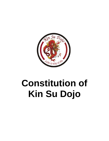

# **Constitution of Kin Su Dojo**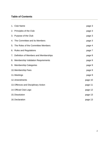# **Table of Contents**

|                               | 1. Club Name                             | page 3  |
|-------------------------------|------------------------------------------|---------|
|                               | 2. Principles of the Club                | page 3  |
|                               | 3. Purpose of the Club                   | page 3  |
|                               | 4. The Committee and its Members         | page 3  |
| 5.                            | The Roles of the Committee Members       | page 4  |
|                               | 6. Rules and Regulations                 | page 7  |
|                               | 7. Definition of Members and Memberships | page 8  |
|                               | 8. Membership Validation Requirements    | page 9  |
|                               | 9. Membership Categories                 | page 9  |
| 10. Membership Fees<br>page 9 |                                          |         |
|                               | 11. Meetings                             | page 9  |
| 12. Amendments<br>page 10     |                                          |         |
|                               | 13. Offences and Disciplinary Action     | page 11 |
|                               | 14. Official Club Logo                   | page 12 |
|                               | 15. Dissolution                          | page 13 |
|                               | 16. Declaration                          | page 13 |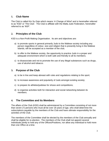#### **1. Club Name**

The Club is called Kin Su Dojo which means '*A Change of Wind*' and is hereinafter referred to as 'KSD' or 'The Club'. The Club is affiliate with the Malta Judo Federation, hereinafter referred to as 'MJF'.

## **2. Principles of the Club**

KSD is a Non-Profit Making Organisation. Its aim and objectives are:

- a) to promote sports in general primarily Judo to the Maltese society including any person regardless of colour, size and religion that is presently living in the Maltese islands, will be accepted as a member of the club;
- b) to offer to the Maltese society, the opportunity to practice Judo in a proper and adequate environment which is both safe and friendly to all its members;
- c) to disassociate and not to promote the use of any illegal substances such as drugs, use of alcohol and tobacco.

#### **3. Purpose of the Club**

- a) to be in line and keep abreast with rules and regulations relating to the sport;
- b) to increase awareness and popularity of Judo amongst existing society;
- c) to prepare its athletes/judokas for shows and competitions;
- d) to organise activities both for interaction and social networking between its members.

#### **4. The Committee and its Members**

The affairs of the Club (KSD) shall be administered by a Committee consisting of not more than seven (7) persons who must all be over 18 years of age, who shall determine the subscriptions payable by the members of the Club and have ultimate responsibility for the activities of the Club.

The members of the Committee shall be elected by the members of the Club annually and shall be eligible for re-election. The members of the Club shall not appoint several individuals jointly to hold any of the Offices/Positions, nor allow any individual to hold more than one Office at a time.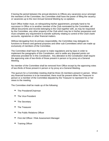If during the period between the annual elections to Offices any vacancies occur amongst the members of the Committee, the Committee shall have the power of filling the vacancy or vacancies up to the next Annual General Meeting by co-optation.

Each Office holder must, on relinquishing his/her appointment, promptly hand to his successor in Office or to another member of the Club nominated by the Committee, all official documents and records belonging to the Club together with, as may be requested by the Committee, any other property of the Club which may be in his/her possession and must complete any requirement to transfer authority relating to control of the Club's bank accounts, signatories or other financial matters.

Without derogating from its primary responsibility, the Committee may delegate its functions to finance and general purposes and other sub-Committees which are made up exclusively of members of the Committee.

The Committee shall have the power to make regulations and by-laws in order to implement the paragraphs of this Constitution, and to settle any disputed points not otherwise provided for in this Constitution. Any alteration to the Constitution shall require the approving vote of two-thirds of those present in person or by proxy at a General Meeting.

No member of the Committee shall be removed from Office except by the approving votes of two-thirds of those present in person or by proxy at a General Meeting.

The quorum for a Committee meeting shall be three (3) members present in person. When any financial business is to be transacted, there must be present either the Treasurer in person or a member of the Committee deputed by the Treasurer to represent his or her views to the meeting.

The Committee shall be made up of the following:

- The President/Chairman
- The Vice-President
- The Secretary
- **The Treasurer**
- The Public Relations Officer
- First Aid Officer / Risk Assessment Manager
- **Training Officer**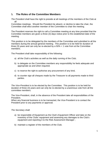## **5. The Roles of the Committee Members**

*The President* shall have the right to preside at all meetings of the members of the Club at all

Committee meetings. Should the President be absent, or decline to take the chair, the Committee shall elect another member of the Committee to chair the meeting.

The President reserves the right to call a Committee meeting at any time provided that the Committee members are given a three (3) days notice prior to the established date of the meeting.

This position is to be delegated by the members of the Committee and submitted to all the members during the annual general meeting. This position is to be held for duration of three (3) years and can only be re-elected by a 50% + 1 vote from at the Committee members.

The President shall take responsibility of the following:

- a) all the Club's activities as well as the daily running of the Club;
- b) to delegate on the Committee members any responsibility he feels adequate and appropriate as and when required;
- c) to reserve the right to authorise any procurement of any kind,
- d) to counter sign all cheques made by the Treasurer to all payments made to third parties.

*The Vice-President* is to be elected by the Committee. This position is to be held for duration of three (3) years and can only be re-elected by a unanimous vote from all the committee members.

The Vice-President, shall, in the absence of the President take all responsibilities of the President.

When any financial business is to be transacted, the Vice-President is to contact the President prior to any payments or approval.

*The Secretary* shall:

- a) be responsible of Equipment as the Club's Equipment Officer and take on the inventory of the Clubs' equipment and assessing any damages to the Club's equipment and reporting it to the Risk Assessment Manager ;
- b) maintain a register of the members of the Club;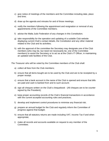- c) give notice of meetings of the members and the Committee including date, place and time;
- d) draw up the agenda and minutes for and of those meetings;
- e) notify the members following the appointment and resignation or removal of any appointments of the Committee members;
- f) advise the Malta Judo Federation of any changes in this Constitution;
- g) take responsibility for the operation and updating of a suitable Club website displaying current Club's contact details, the Constitution and any other material related to the Club and its activities;
- h) with the approval of the committee the Secretary may designate one of the Club members (who may be, but need not necessarily be, one of the Committee members) to assist the Secretary or to act as at the Club's IT Officer, in maintaining an updated web facilities of the Club.

*The Treasurer* who will be voted by the Committee members of the Club shall:

- a) collect all fees from the Club members;
- b) ensure that all items bought are to be used by the Club and are to be receipted by a proper receipt;
- c) ensure that a bank account in the name of the Club is opened and ensure that bills are paid and cash is banked from and to such account;
- d) sign all cheques written on the Club's chequebook (All cheques are to be counter signed by the President);
- e) keep proper accounting records of the Club's financial transactions in accordance with the current accepted accounting rules and practices;
- f) develop and implement control procedures to minimise any financial risk;
- g) prepare an annual budget for the Club and regularly inform the Committee of progress against that budget;
- h) ensure that all statutory returns are made including VAT, Income Tax if and when appropriate;
- i) make all records and accounts available on request to any member of the Committee;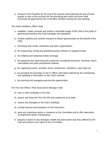j) forward to the President by the end of the second week following the end of every quarter a copy of the accounts for the preceding term which accounts shall eventually be approved by the Committee members during the next meeting.

*The Public Relations Officer* shall:

- a) establish, create, promote and protect a favorable image of the Club to the public in general and enhance the Club's prestige and reputation;
- b) monitor publicity and conduct research to attract sponsorships for the benefit of the Club;
- c) be liaising with media, individuals and other organizations;
- d) be researching, writing and distributing press releases to targeted media;
- e) be collating and analysing media coverage;
- f) be preparing and supervising the production of publicity brochures, handouts, direct mail leaflets and other promotional material;
- g) be organising events, activities, press conferences, exhibitions, open days etc
- h) be providing the Secretary or the IT Officer with latest material for the maintaining and updating of information on the Club's website;
- i) be sourcing and managing sponsorship opportunities.

*The First Aid Officer / Risk Assessment Manager* shall:

- a) have a valid certificate in First Aid;
- b) assess and keep the First Aid Kit/s and equipment up to date;
- c) assess any damages to the Club's buildings;
- d) provide lectures and assistance to the instructors;
- e) point any hazardous points or situations to the Committee and to offer alternative arrangements and/or maintenance;
- f) prepare a report on any damages, health risk point and/or any loss suffered by the Club and present such report to the Committee.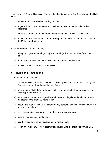*The Training Officer* or (Technical Person) who shall be voted by the Committee of the Club shall:

- a) take care of all the members during classes;
- b) engage skilled or well experienced coaches and also be responsible for their coaching;
- c) inform the Committee of any problems regarding any Judo class or classes;
- d) help in the promotion of the Club by taking part in festivals, events and activities of the Malta Judo Federation.

All other members of the Club may:

- a) take part in general meetings or special meetings that can be called from time to time;
- b) be assigned to carry out minor tasks such as fundraising activities;
- c) be called to help out during club activities.

#### **6. Rules and Regulations**

All members of the Club shall:

- a) submit an official entry application form which application is to be approved by the Committee at the discretion of the said Committee;
- b) enrol with the Malta Judo Federation within one month after their application has been approved by the Club;
- c) have their enrolment form signed by their parents or legal guardian in the case of athletes/judokas under 18 years of age;
- d) acquire the Judo-Gi and Zory, uniform or any personal items in connection with the activity being taken;
- e) keep the premises clean during and after their training session/s;
- f) keep all valuables in their kit bags;
- g) pay their fees on time as indicated by their instructors;
- h) report any misbehavior from other athletes/judokas to the instructor immediately;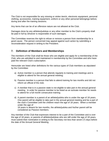The Club is not responsible for any missing or stolen item/s, electronic equipment, personal clothing, accessories, training equipment, uniform or any other personal belongings before, during and after the training sessions.

Any items that can be of an offensive nature are not allowed at the Club.

Damages done by any athletes/judokas or any other member to the Club's property shall be paid in full by whoever is responsible of such damages.

The Committee reserves the right to refuse or remove a person from membership for a good cause. The person concerned may appeal against such action by submitting a reconsideration request in writing to the President.

#### **7. Definition of Members and Memberships**

The members of the Club shall be those who are eligible and apply for a membership of the Club, who are admitted to and maintained in membership by the Committee and who have paid the relevant Club's subscription.

Hereunder are listed other definitions for the various types of Club members as stipulated by the Committee:

- a) Active member is a person that attends regularly to training and meetings and is eligible to attend for the annual general meeting;
- b) Passive member is a person that fails to attend training for two months and did not inform an official of the club;
- c) A member that is in a passive state is not eligible to take part in the annual general meeting. In order for passive member to be listed as an activate member he needs to attend for a full month consecutive training;
- d) A parent member is a parent of an athlete/judoka who is under the age of 18 years. One parent will be eligible to take part in the annual general meeting and be a part of the club's Committee until the children reach the age of 18 years. When a member under the age of

18 years is absent for two months, the athlete/judoka and his/her parent will be considered as Passive members.

Any member of the Club that expresses interest to be a part of the Committee and is over the age of 18 years, or parents of athletes/judokas who are still under the age of 18 years, must submit their nomination in writing to the Secretary not less than seven (7) days before the date of the Annual General Meeting.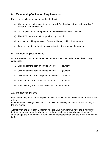## **8. Membership Validation Requirements**

For a person to become a member, he/she has to:

- a) fill a membership form provided by our club (all details must be filled) including 1 passport-sized photograph;
- b) such application will be approved at the discretion of the Committee;
- c) fill an MJF membership form provided by our club;
- d) any kits should be purchased, if there will be any, within the first term;
- e) the membership fee has to be paid within the first month of the quarter.

# **9. Membership Categories**

Once a member is accepted the athlete/judoka will be listed under one of the following categories:

| a) Children starting from 3 years to 6 years   | (Nursery) |
|------------------------------------------------|-----------|
| b) Children starting from 7 years to 9 years   | (Juniors) |
| c) Children starting from 10 years to 12 years | (Seniors) |
| d) Adults starting from 12 years to 14 years   | (Cadets)  |

e) Adults starting from 15 years onwards (Adults/Athletes)

# **10. Membership Fees**

Membership payments are to be paid in advance within the first month of the quarter at the rate of

€45 quarterly or €180 yearly when paid in full in advance by not later than the last day of the first month.

A family that has more than 2 children who are Club members will have the third member for free. In case of a family who has more than 3 Club members who are all under 18 years of age, the third member will pay half the membership fee and the fourth member will be free.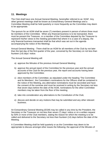#### **11. Meetings**

The Club shall have one Annual General Meeting, hereinafter referred to as 'AGM'. Any other general meetings shall be known as Extraordinary General Meetings and a Committee Meeting shall be held quarterly or more frequently as the Committee may deem to be appropriate.

The quorum for an AGM shall be seven (7) members present in person of whom three must be members of the Committee. When any financial business is to be transacted, there must be present the Treasurer, or a member of the Committee deputed by the Treasurer to represent his/her views to the meeting (provided that where it is a case of a deputy, the only financial business transacted shall be that which was set out in the agenda accompanying the notice of the Meeting).

Annual General Meeting - There shall be an AGM for all members of the Club by not later than the last day of the first quarter of the year, convened by the Secretary on not less than fourteen (14) days' notice.

The Annual General Meeting will:

- a) approve the Minutes of the previous Annual General Meeting;
- b) approve the annual report of the Committee for the previous year and the annual accounts of the Club for the previous year, the report and accounts having been approved by the Committee;
- c) elect members of the Committee; as stipulated under the heading 'The Committee and its Members', the Committee's nominations for the Officers shall be contained in the notice of the Meeting, any alternative nominations must be seconded and have the consent of the nominee and must be received in writing by the Secretary not less that seven days before the date of the AGM, nominations for the other Committee members may be taken from the floor of the meeting;
- d) take into consideration any alternations to the Constitution of the Club;
- e) discuss and decide on any motions that may be submitted and any other relevant business.

An Extraordinary General Meeting (EGM) may be called in any time by the President, the Secretary or the Treasurer on not less than seven (7) days' notice or on a written request by 50% or more of the Club members, stating the reason for which the meeting is to be called and delivered to the Secretary not less than fourteen (14) days before the date of the Meeting.

A Committee Meeting shall be held quarterly or as the Committee may deem to be appropriate to discuss amongst other issues the following; the approval of the Minutes of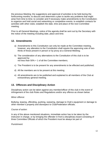the previous Meeting; the suggestions and approval of activities to be held during the forthcoming months; to discuss and determine a plan to tackle any problems that might arise from time to time; to consider and if necessary make amendments to the Constitution; to organize and hold social and networking or competitive events; to establish contacts for activities with other clubs; establish the date, time and place of the next Committee meeting.

Prior to all General Meetings, notice of the agenda shall be sent out by the Secretary with the notice of the meeting including date, place and time.

## **12. Amendments**

- a) Amendments to this Constitution can only be made at the Committee meeting, however, any alteration to the Constitution shall require the approving vote of twothirds of those present in person or by proxy at a General Meeting;
- b) The consideration of any alternations to the Constitution of this club is to be approved by not less than 50% + 1 of all the Committee members;
- c) The President is to be present for any amendments to be effected and published;
- d) All the members are to be present at this meeting;
- e) All amendments are to be published and explained to all members of the Club at extraordinary general meeting.

# **13. Offences and Disciplinary Action**

Disciplinary action can be taken against any member/officer of this club in the event of infringement of the club Rules and Regulations and/or any offence as shown below:

#### *Minor offence:*

Bullying, teasing, offending, pushing, swearing, damage to Club's equipment or damage to other member's property and disrespect to Club/Federation officials.

*Course of action:* 

In any of the above mentioned situations, immediate action has to be taken by the instructor in charge, or by bringing the offender in front a disciplinary board consisting of three Committee Officials of which the President must be always be part of

*Punishment*: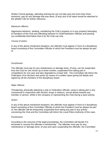Written Formal apology, attending training but can not take part (not more than three sessions), pay for any damage that was done, (if any) and a full report would be attached to the athlete's file for further reference.

#### *Maximum offence:*

Aggressive behavior, stealing, vandalizing the Club's property or to any property belonging to members of the Club and offending behavior to Club/Federation Officials and passing out confidential information that is for the Club use only

#### *Course of action:*

In any of the above mentioned situations, the offender must appear in front of a disciplinary board consisting of five Committee Officials of which the President must be always be part of

#### *Punishment*:

The offender must pay for any maintenance or damage done, (if any), can be suspended from the Club for one month up to three months, suspended from taking part in competitions for one year and also degraded to a lower belt. The Committee will inform the Federation of its decision and action by means of a written report giving full details and signed by all the members of the disciplinary board.

#### *Major offense:*

Threatening, physically attacking a club or Federation officials; using or taking part in any commercial in conjunction with alcohol, drugs or tobacco, sexual abuse towards any member or person, whilst in the company or representing the Club during a sport activity.

#### *Action:*

In any of the above mentioned situations, the offender must appear in front of a disciplinary board consisting of five Committee Officials of which the President must be always be part of, the offender will be temporarily suspended from taking any part in any activity concerning the Club and the Committee will inform the Local Police Authority of this case.

#### *Punishment:*

According to the outcome of the legal proceedings, the Committee will decide if to terminate or resume the offender's membership. The offender must pay for any maintenance or damage done, (if any) and upon suspending the offender, the Committee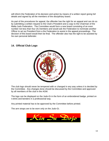will inform the Federation of its decision and action by means of a written report giving full details and signed by all the members of the disciplinary board.

As part of the procedures for appeal, the offender has the right for an appeal and can do so by submitting a written request to the Club's President and a copy to the Chairman of the Malta Judo Federation. The Committee would form a new board consisting of an even number not less than four (4) members and would ask the Federation to nominate another Officer to act as President from a the Federation to assist in the appeal proceedings. The decision of this board would then be final. The offender also has the right to be assisted by his own personal defender.

# **14. Official Club Logo**



The club logo should never be tempered with or changed in any way unless it is decided by the Committee. Any changes done should be discussed by the Committee and approved by all members of the club in the AGM.

The logo can be displayed on the Judo-Gi in the form of an embroidered badge, printed on t-shirts and benders in a professional way.

Any printed material has to be approved by the Committee before printed.

The arm straps are to be worn only on the Judo-Gi.